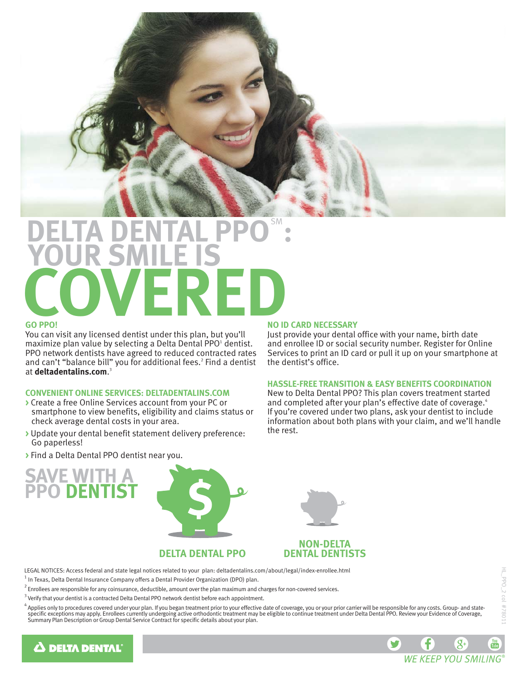

# **DELTA DENTAL PPO": YOUR SMILE IS COVERED**

#### **GO PPO!**

You can visit any licensed dentist under this plan, but you'll maximize plan value by selecting a Delta Dental PPO<sup>1</sup> dentist. PPO network dentists have agreed to reduced contracted rates and can't "balance bill" you for additional fees.<sup>2</sup> Find a dentist at **deltadentalins.com**. 3

#### **CONVENIENT ONLINE SERVICES: DELTADENTALINS.COM**

- **>** Create a free Online Services account from your PC or smartphone to view benefits, eligibility and claims status or check average dental costs in your area.
- **>** Update your dental benefit statement delivery preference: Go paperless!
- **>** Find a Delta Dental PPO dentist near you.

# **SAVE WITH A PPO DENTIST**





# **NON-DELTA**

LEGAL NOTICES: Access federal and state legal notices related to your plan: deltadentalins.com/about/legal/index-enrollee.html  $^1$  In Texas, Delta Dental Insurance Company offers a Dental Provider Organization (DPO) plan.

- $^2$  Enrollees are responsible for any coinsurance, deductible, amount over the plan maximum and charges for non-covered services.
- $3$  Verify that your dentist is a contracted Delta Dental PPO network dentist before each appointment.
- $^4$  Applies only to procedures covered under your plan. If you began treatment prior to your effective date of coverage, you or your prior carrier will be responsible for any costs. Group- and statespecific exceptions may apply. Enrollees currently undergoing active orthodontic treatment may be eligible to continue treatment under Delta Dental PPO. Review your Evidence of Coverage,<br>Summary Plan Description or Group D



# **A DELTA DENTAL**

### **NO ID CARD NECESSARY**

Just provide your dental office with your name, birth date and enrollee ID or social security number. Register for Online Services to print an ID card or pull it up on your smartphone at the dentist's office.

#### **HASSLE-FREE TRANSITION & EASY BENEFITS COORDINATION**

New to Delta Dental PPO? This plan covers treatment started and completed after your plan's effective date of coverage.<sup>4</sup> If you're covered under two plans, ask your dentist to include information about both plans with your claim, and we'll handle the rest.